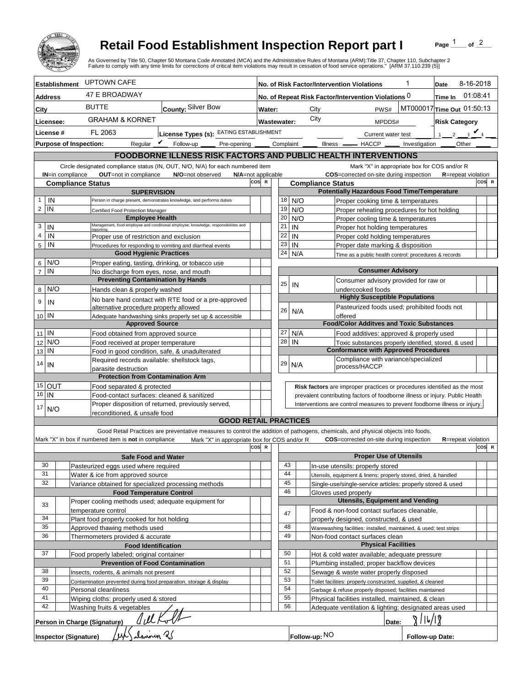

## **Retail Food Establishment Inspection Report part I**

Page  $\frac{1}{1}$  of  $\frac{2}{1}$ 

|                                                 |                                                                                            |                                                                                    | <b>Retail Food Establishment Inspection Report part I</b><br>As Governed by Title 50, Chapter 50 Montana Code Annotated (MCA) and the Administrative Rules of Montana (ARM):Title 37, Chapter 110, Subchapter 2<br>Failure to comply with any time limits for corrections of critical item violations may result in cessation of food service operations." [ARM 37.110.239 (5)] |     |                    |                                                                                                                                 |                                                    |                                                                              |                      |                                                                                                     |                                      | Page                       | of $^2$   |       |  |
|-------------------------------------------------|--------------------------------------------------------------------------------------------|------------------------------------------------------------------------------------|---------------------------------------------------------------------------------------------------------------------------------------------------------------------------------------------------------------------------------------------------------------------------------------------------------------------------------------------------------------------------------|-----|--------------------|---------------------------------------------------------------------------------------------------------------------------------|----------------------------------------------------|------------------------------------------------------------------------------|----------------------|-----------------------------------------------------------------------------------------------------|--------------------------------------|----------------------------|-----------|-------|--|
|                                                 | <b>Establishment</b>                                                                       | <b>UPTOWN CAFE</b>                                                                 |                                                                                                                                                                                                                                                                                                                                                                                 |     |                    |                                                                                                                                 |                                                    | No. of Risk Factor/Intervention Violations                                   |                      |                                                                                                     | 1                                    | Date                       | 8-16-2018 |       |  |
| <b>Address</b>                                  |                                                                                            | <b>47 E BROADWAY</b>                                                               |                                                                                                                                                                                                                                                                                                                                                                                 |     |                    | No. of Repeat Risk Factor/Intervention Violations 0                                                                             |                                                    |                                                                              |                      |                                                                                                     | Time In                              | 01:08:41                   |           |       |  |
| City                                            |                                                                                            | <b>BUTTE</b>                                                                       | County: Silver Bow                                                                                                                                                                                                                                                                                                                                                              |     |                    | MT000017 Time Out 01:50:13<br>City<br>PWS#<br>Water:                                                                            |                                                    |                                                                              |                      |                                                                                                     |                                      |                            |           |       |  |
|                                                 |                                                                                            |                                                                                    | <b>GRAHAM &amp; KORNET</b>                                                                                                                                                                                                                                                                                                                                                      |     |                    |                                                                                                                                 |                                                    | City                                                                         |                      |                                                                                                     |                                      |                            |           |       |  |
| Licensee:<br>License #                          |                                                                                            | FL 2063<br>License Types (s): EATING ESTABLISHMENT                                 |                                                                                                                                                                                                                                                                                                                                                                                 |     | <b>Wastewater:</b> |                                                                                                                                 |                                                    | MPDDS#                                                                       |                      |                                                                                                     | <b>Risk Category</b><br>2 $\sqrt{4}$ |                            |           |       |  |
|                                                 |                                                                                            | Regular $V$<br><b>Purpose of Inspection:</b>                                       | Follow-up<br>Pre-opening _                                                                                                                                                                                                                                                                                                                                                      |     |                    | Complaint                                                                                                                       |                                                    |                                                                              |                      | Current water test<br>Illness <u>- HACCP</u>                                                        | Investigation                        | Other                      |           |       |  |
|                                                 |                                                                                            |                                                                                    | FOODBORNE ILLNESS RISK FACTORS AND PUBLIC HEALTH INTERVENTIONS                                                                                                                                                                                                                                                                                                                  |     |                    |                                                                                                                                 |                                                    |                                                                              |                      |                                                                                                     |                                      |                            |           |       |  |
|                                                 |                                                                                            |                                                                                    | Circle designated compliance status (IN, OUT, N/O, N/A) for each numbered item                                                                                                                                                                                                                                                                                                  |     |                    |                                                                                                                                 |                                                    |                                                                              |                      | Mark "X" in appropriate box for COS and/or R                                                        |                                      |                            |           |       |  |
|                                                 | IN=in compliance                                                                           | OUT=not in compliance                                                              | N/O=not observed<br>N/A=not applicable                                                                                                                                                                                                                                                                                                                                          |     |                    |                                                                                                                                 |                                                    |                                                                              |                      | COS=corrected on-site during inspection                                                             |                                      | <b>R</b> =repeat violation |           |       |  |
|                                                 |                                                                                            | <b>Compliance Status</b>                                                           |                                                                                                                                                                                                                                                                                                                                                                                 | cos | $\mathbb{R}$       |                                                                                                                                 |                                                    | <b>Compliance Status</b>                                                     |                      |                                                                                                     |                                      |                            |           | COS R |  |
|                                                 |                                                                                            | <b>SUPERVISION</b>                                                                 |                                                                                                                                                                                                                                                                                                                                                                                 |     |                    |                                                                                                                                 |                                                    |                                                                              |                      | <b>Potentially Hazardous Food Time/Temperature</b>                                                  |                                      |                            |           |       |  |
| IN<br>1<br>IN<br>2                              |                                                                                            |                                                                                    | Person in charge present, demonstrates knowledge, and performs duties                                                                                                                                                                                                                                                                                                           |     |                    | 18<br>19                                                                                                                        |                                                    | N/O<br>N/O                                                                   |                      | Proper cooking time & temperatures<br>Proper reheating procedures for hot holding                   |                                      |                            |           |       |  |
|                                                 |                                                                                            | Certified Food Protection Manager<br><b>Employee Health</b>                        |                                                                                                                                                                                                                                                                                                                                                                                 |     |                    | 20                                                                                                                              |                                                    | N/O                                                                          |                      | Proper cooling time & temperatures                                                                  |                                      |                            |           |       |  |
| IN<br>3                                         |                                                                                            |                                                                                    | Management, food employee and conditional employee, knowledge, responsibiliites and                                                                                                                                                                                                                                                                                             |     |                    | 21                                                                                                                              | IN                                                 |                                                                              |                      | Proper hot holding temperatures                                                                     |                                      |                            |           |       |  |
| 4<br>IN                                         |                                                                                            | Proper use of restriction and exclusion                                            |                                                                                                                                                                                                                                                                                                                                                                                 |     |                    | 22                                                                                                                              | IN                                                 |                                                                              |                      | Proper cold holding temperatures                                                                    |                                      |                            |           |       |  |
| IN<br>5                                         |                                                                                            |                                                                                    | Procedures for responding to vomiting and diarrheal events                                                                                                                                                                                                                                                                                                                      |     |                    | 23                                                                                                                              | IN                                                 |                                                                              |                      | Proper date marking & disposition                                                                   |                                      |                            |           |       |  |
| N/O<br>6                                        |                                                                                            | <b>Good Hygienic Practices</b><br>Proper eating, tasting, drinking, or tobacco use |                                                                                                                                                                                                                                                                                                                                                                                 |     |                    | 24                                                                                                                              |                                                    | N/A                                                                          |                      | Time as a public health control: procedures & records                                               |                                      |                            |           |       |  |
| IN<br>$\overline{7}$                            |                                                                                            | No discharge from eyes, nose, and mouth                                            |                                                                                                                                                                                                                                                                                                                                                                                 |     |                    |                                                                                                                                 | <b>Consumer Advisory</b>                           |                                                                              |                      |                                                                                                     |                                      |                            |           |       |  |
|                                                 |                                                                                            | <b>Preventing Contamination by Hands</b>                                           |                                                                                                                                                                                                                                                                                                                                                                                 |     |                    | 25                                                                                                                              | IN                                                 |                                                                              |                      | Consumer advisory provided for raw or                                                               |                                      |                            |           |       |  |
| N/O<br>8                                        |                                                                                            | Hands clean & properly washed                                                      |                                                                                                                                                                                                                                                                                                                                                                                 |     |                    |                                                                                                                                 |                                                    |                                                                              |                      | undercooked foods                                                                                   |                                      |                            |           |       |  |
| 9<br>IN                                         |                                                                                            |                                                                                    | No bare hand contact with RTE food or a pre-approved                                                                                                                                                                                                                                                                                                                            |     |                    |                                                                                                                                 |                                                    |                                                                              |                      | <b>Highly Susceptible Populations</b>                                                               |                                      |                            |           |       |  |
| 10 IN                                           |                                                                                            | alternative procedure properly allowed                                             | Adequate handwashing sinks properly set up & accessible                                                                                                                                                                                                                                                                                                                         |     |                    | 26                                                                                                                              |                                                    | N/A                                                                          | offered              | Pasteurized foods used; prohibited foods not                                                        |                                      |                            |           |       |  |
|                                                 |                                                                                            | <b>Approved Source</b>                                                             |                                                                                                                                                                                                                                                                                                                                                                                 |     |                    |                                                                                                                                 |                                                    |                                                                              |                      | <b>Food/Color Additves and Toxic Substances</b>                                                     |                                      |                            |           |       |  |
| l IN<br>11                                      |                                                                                            | Food obtained from approved source                                                 |                                                                                                                                                                                                                                                                                                                                                                                 |     |                    | 27                                                                                                                              |                                                    | N/A                                                                          |                      | Food additives: approved & properly used                                                            |                                      |                            |           |       |  |
| N/O<br>12                                       |                                                                                            | Food received at proper temperature                                                |                                                                                                                                                                                                                                                                                                                                                                                 |     |                    | 28                                                                                                                              | IN                                                 |                                                                              |                      | Toxic substances properly identified, stored, & used                                                |                                      |                            |           |       |  |
| IN<br>13                                        |                                                                                            | Food in good condition, safe, & unadulterated                                      |                                                                                                                                                                                                                                                                                                                                                                                 |     |                    |                                                                                                                                 |                                                    |                                                                              |                      | <b>Conformance with Approved Procedures</b><br>Compliance with variance/specialized                 |                                      |                            |           |       |  |
| 14<br>IN                                        |                                                                                            | Required records available: shellstock tags,<br>parasite destruction               |                                                                                                                                                                                                                                                                                                                                                                                 |     |                    | 29                                                                                                                              |                                                    | N/A                                                                          | process/HACCP        |                                                                                                     |                                      |                            |           |       |  |
|                                                 |                                                                                            | <b>Protection from Contamination Arm</b>                                           |                                                                                                                                                                                                                                                                                                                                                                                 |     |                    |                                                                                                                                 |                                                    |                                                                              |                      |                                                                                                     |                                      |                            |           |       |  |
| $15$ OUT                                        |                                                                                            | Food separated & protected                                                         |                                                                                                                                                                                                                                                                                                                                                                                 |     |                    |                                                                                                                                 |                                                    | Risk factors are improper practices or procedures identified as the most     |                      |                                                                                                     |                                      |                            |           |       |  |
| 16<br>IN                                        |                                                                                            | Food-contact surfaces: cleaned & sanitized                                         |                                                                                                                                                                                                                                                                                                                                                                                 |     |                    |                                                                                                                                 |                                                    | prevalent contributing factors of foodborne illness or injury. Public Health |                      |                                                                                                     |                                      |                            |           |       |  |
| 17<br>N/O                                       |                                                                                            | Proper disposition of returned, previously served,                                 |                                                                                                                                                                                                                                                                                                                                                                                 |     |                    |                                                                                                                                 |                                                    | Interventions are control measures to prevent foodborne illness or injury.   |                      |                                                                                                     |                                      |                            |           |       |  |
|                                                 |                                                                                            | reconditioned, & unsafe food                                                       | <b>GOOD RETAIL PRACTICES</b>                                                                                                                                                                                                                                                                                                                                                    |     |                    |                                                                                                                                 |                                                    |                                                                              |                      |                                                                                                     |                                      |                            |           |       |  |
|                                                 |                                                                                            |                                                                                    | Good Retail Practices are preventative measures to control the addition of pathogens, chemicals, and physical objects into foods.                                                                                                                                                                                                                                               |     |                    |                                                                                                                                 |                                                    |                                                                              |                      |                                                                                                     |                                      |                            |           |       |  |
|                                                 |                                                                                            | Mark "X" in box if numbered item is not in compliance                              | Mark "X" in appropriate box for COS and/or R                                                                                                                                                                                                                                                                                                                                    |     |                    |                                                                                                                                 |                                                    |                                                                              |                      | <b>COS</b> =corrected on-site during inspection                                                     |                                      | <b>R</b> =repeat violation |           |       |  |
|                                                 |                                                                                            |                                                                                    |                                                                                                                                                                                                                                                                                                                                                                                 | cos |                    |                                                                                                                                 |                                                    |                                                                              |                      |                                                                                                     |                                      |                            |           | COS R |  |
| 30                                              |                                                                                            | <b>Safe Food and Water</b><br>Pasteurized eggs used where required                 |                                                                                                                                                                                                                                                                                                                                                                                 |     |                    |                                                                                                                                 | 43                                                 |                                                                              |                      | <b>Proper Use of Utensils</b>                                                                       |                                      |                            |           |       |  |
| 31                                              |                                                                                            | Water & ice from approved source                                                   |                                                                                                                                                                                                                                                                                                                                                                                 |     |                    |                                                                                                                                 | 44                                                 |                                                                              |                      | In-use utensils: properly stored<br>Utensils, equipment & linens: properly stored, dried, & handled |                                      |                            |           |       |  |
| 32                                              |                                                                                            | Variance obtained for specialized processing methods                               |                                                                                                                                                                                                                                                                                                                                                                                 |     |                    |                                                                                                                                 | 45                                                 |                                                                              |                      | Single-use/single-service articles: properly stored & used                                          |                                      |                            |           |       |  |
|                                                 |                                                                                            | <b>Food Temperature Control</b>                                                    |                                                                                                                                                                                                                                                                                                                                                                                 |     |                    |                                                                                                                                 | 46                                                 |                                                                              | Gloves used properly |                                                                                                     |                                      |                            |           |       |  |
| 33                                              |                                                                                            | Proper cooling methods used; adequate equipment for                                |                                                                                                                                                                                                                                                                                                                                                                                 |     |                    |                                                                                                                                 |                                                    |                                                                              |                      | <b>Utensils, Equipment and Vending</b>                                                              |                                      |                            |           |       |  |
| 34                                              |                                                                                            | temperature control                                                                |                                                                                                                                                                                                                                                                                                                                                                                 |     |                    |                                                                                                                                 | 47                                                 |                                                                              |                      | Food & non-food contact surfaces cleanable,<br>properly designed, constructed, & used               |                                      |                            |           |       |  |
| 35                                              |                                                                                            | Plant food properly cooked for hot holding<br>Approved thawing methods used        |                                                                                                                                                                                                                                                                                                                                                                                 |     |                    |                                                                                                                                 | 48                                                 |                                                                              |                      | Warewashing facilities: installed, maintained, & used; test strips                                  |                                      |                            |           |       |  |
| 36                                              |                                                                                            | Thermometers provided & accurate                                                   |                                                                                                                                                                                                                                                                                                                                                                                 |     |                    |                                                                                                                                 | 49                                                 |                                                                              |                      | Non-food contact surfaces clean                                                                     |                                      |                            |           |       |  |
| <b>Food Identification</b>                      |                                                                                            |                                                                                    |                                                                                                                                                                                                                                                                                                                                                                                 |     |                    |                                                                                                                                 |                                                    |                                                                              |                      | <b>Physical Facilities</b>                                                                          |                                      |                            |           |       |  |
| 37<br>Food properly labeled; original container |                                                                                            |                                                                                    |                                                                                                                                                                                                                                                                                                                                                                                 |     |                    |                                                                                                                                 | 50                                                 |                                                                              |                      | Hot & cold water available; adequate pressure                                                       |                                      |                            |           |       |  |
|                                                 |                                                                                            | <b>Prevention of Food Contamination</b>                                            |                                                                                                                                                                                                                                                                                                                                                                                 |     |                    |                                                                                                                                 | 51<br>52                                           |                                                                              |                      | Plumbing installed; proper backflow devices                                                         |                                      |                            |           |       |  |
| 38<br>39                                        |                                                                                            | Insects, rodents, & animals not present                                            |                                                                                                                                                                                                                                                                                                                                                                                 |     |                    | Sewage & waste water properly disposed<br>53                                                                                    |                                                    |                                                                              |                      |                                                                                                     |                                      |                            |           |       |  |
| 40                                              | Contamination prevented during food preparation, storage & display<br>Personal cleanliness |                                                                                    |                                                                                                                                                                                                                                                                                                                                                                                 |     |                    | Toilet facilities: properly constructed, supplied, & cleaned<br>54<br>Garbage & refuse properly disposed; facilities maintained |                                                    |                                                                              |                      |                                                                                                     |                                      |                            |           |       |  |
| 41                                              | Wiping cloths: properly used & stored                                                      |                                                                                    |                                                                                                                                                                                                                                                                                                                                                                                 |     |                    | 55                                                                                                                              | Physical facilities installed, maintained, & clean |                                                                              |                      |                                                                                                     |                                      |                            |           |       |  |
| 42                                              |                                                                                            | Washing fruits & vegetables                                                        |                                                                                                                                                                                                                                                                                                                                                                                 |     |                    |                                                                                                                                 | 56                                                 |                                                                              |                      | Adequate ventilation & lighting; designated areas used                                              |                                      |                            |           |       |  |
|                                                 |                                                                                            | Person in Charge (Signature)                                                       |                                                                                                                                                                                                                                                                                                                                                                                 |     |                    |                                                                                                                                 |                                                    |                                                                              |                      | Date:                                                                                               |                                      | 14/19                      |           |       |  |
|                                                 |                                                                                            | <b>Inspector (Signature)</b>                                                       |                                                                                                                                                                                                                                                                                                                                                                                 |     |                    |                                                                                                                                 |                                                    | Follow-up: NO                                                                |                      |                                                                                                     | Follow-up Date:                      |                            |           |       |  |